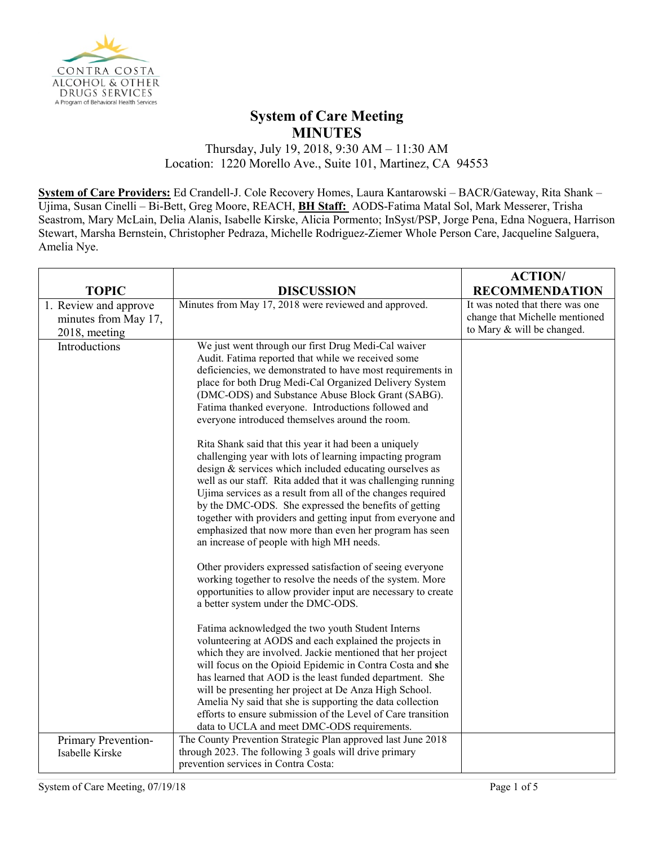

## **System of Care Meeting MINUTES**

Thursday, July 19, 2018, 9:30 AM – 11:30 AM Location: 1220 Morello Ave., Suite 101, Martinez, CA 94553

**System of Care Providers:** Ed Crandell-J. Cole Recovery Homes, Laura Kantarowski – BACR/Gateway, Rita Shank – Ujima, Susan Cinelli – Bi-Bett, Greg Moore, REACH, **BH Staff:** AODS-Fatima Matal Sol, Mark Messerer, Trisha Seastrom, Mary McLain, Delia Alanis, Isabelle Kirske, Alicia Pormento; InSyst/PSP, Jorge Pena, Edna Noguera, Harrison Stewart, Marsha Bernstein, Christopher Pedraza, Michelle Rodriguez-Ziemer Whole Person Care, Jacqueline Salguera, Amelia Nye.

|                                                                |                                                                                                                                                                                                                                                                                                                                                                                                                                                                                                                                                                                                                                                                                                                                                                                                                                                                                                                                                                                                                                                                                                                                                                                                                                                                                                                                                                                                                                                                                                                                                                                                                                                                                 | <b>ACTION/</b>                                                                                  |
|----------------------------------------------------------------|---------------------------------------------------------------------------------------------------------------------------------------------------------------------------------------------------------------------------------------------------------------------------------------------------------------------------------------------------------------------------------------------------------------------------------------------------------------------------------------------------------------------------------------------------------------------------------------------------------------------------------------------------------------------------------------------------------------------------------------------------------------------------------------------------------------------------------------------------------------------------------------------------------------------------------------------------------------------------------------------------------------------------------------------------------------------------------------------------------------------------------------------------------------------------------------------------------------------------------------------------------------------------------------------------------------------------------------------------------------------------------------------------------------------------------------------------------------------------------------------------------------------------------------------------------------------------------------------------------------------------------------------------------------------------------|-------------------------------------------------------------------------------------------------|
| <b>TOPIC</b>                                                   | <b>DISCUSSION</b>                                                                                                                                                                                                                                                                                                                                                                                                                                                                                                                                                                                                                                                                                                                                                                                                                                                                                                                                                                                                                                                                                                                                                                                                                                                                                                                                                                                                                                                                                                                                                                                                                                                               | <b>RECOMMENDATION</b>                                                                           |
| 1. Review and approve<br>minutes from May 17,<br>2018, meeting | Minutes from May 17, 2018 were reviewed and approved.                                                                                                                                                                                                                                                                                                                                                                                                                                                                                                                                                                                                                                                                                                                                                                                                                                                                                                                                                                                                                                                                                                                                                                                                                                                                                                                                                                                                                                                                                                                                                                                                                           | It was noted that there was one<br>change that Michelle mentioned<br>to Mary & will be changed. |
| Introductions                                                  | We just went through our first Drug Medi-Cal waiver<br>Audit. Fatima reported that while we received some<br>deficiencies, we demonstrated to have most requirements in<br>place for both Drug Medi-Cal Organized Delivery System<br>(DMC-ODS) and Substance Abuse Block Grant (SABG).<br>Fatima thanked everyone. Introductions followed and<br>everyone introduced themselves around the room.<br>Rita Shank said that this year it had been a uniquely<br>challenging year with lots of learning impacting program<br>design & services which included educating ourselves as<br>well as our staff. Rita added that it was challenging running<br>Ujima services as a result from all of the changes required<br>by the DMC-ODS. She expressed the benefits of getting<br>together with providers and getting input from everyone and<br>emphasized that now more than even her program has seen<br>an increase of people with high MH needs.<br>Other providers expressed satisfaction of seeing everyone<br>working together to resolve the needs of the system. More<br>opportunities to allow provider input are necessary to create<br>a better system under the DMC-ODS.<br>Fatima acknowledged the two youth Student Interns<br>volunteering at AODS and each explained the projects in<br>which they are involved. Jackie mentioned that her project<br>will focus on the Opioid Epidemic in Contra Costa and she<br>has learned that AOD is the least funded department. She<br>will be presenting her project at De Anza High School.<br>Amelia Ny said that she is supporting the data collection<br>efforts to ensure submission of the Level of Care transition |                                                                                                 |
|                                                                | data to UCLA and meet DMC-ODS requirements.                                                                                                                                                                                                                                                                                                                                                                                                                                                                                                                                                                                                                                                                                                                                                                                                                                                                                                                                                                                                                                                                                                                                                                                                                                                                                                                                                                                                                                                                                                                                                                                                                                     |                                                                                                 |
| Primary Prevention-<br>Isabelle Kirske                         | The County Prevention Strategic Plan approved last June 2018<br>through 2023. The following 3 goals will drive primary<br>prevention services in Contra Costa:                                                                                                                                                                                                                                                                                                                                                                                                                                                                                                                                                                                                                                                                                                                                                                                                                                                                                                                                                                                                                                                                                                                                                                                                                                                                                                                                                                                                                                                                                                                  |                                                                                                 |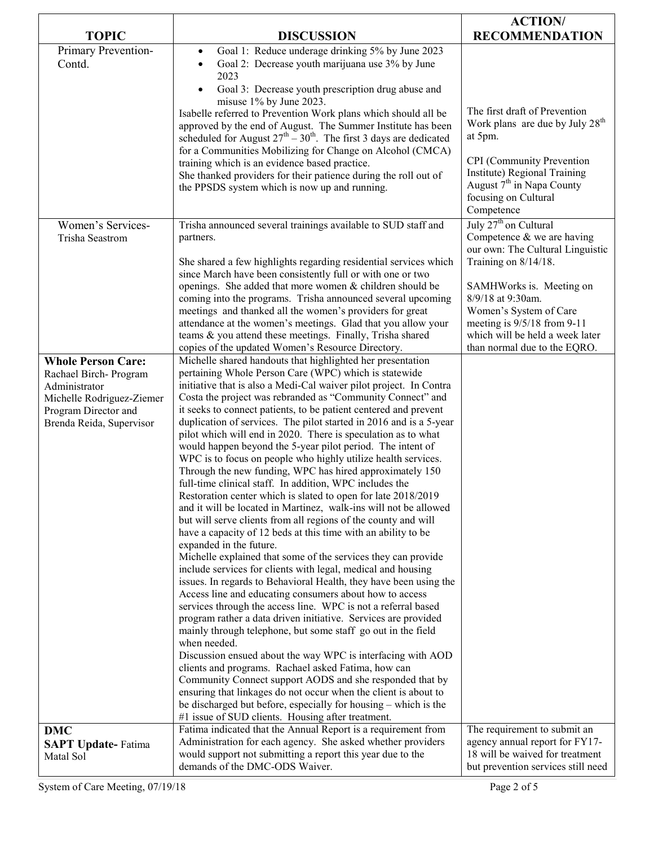|                                                   |                                                                                                                                                                                                                                | <b>ACTION/</b>                                                                                                                 |
|---------------------------------------------------|--------------------------------------------------------------------------------------------------------------------------------------------------------------------------------------------------------------------------------|--------------------------------------------------------------------------------------------------------------------------------|
| <b>TOPIC</b>                                      | <b>DISCUSSION</b>                                                                                                                                                                                                              | <b>RECOMMENDATION</b>                                                                                                          |
| Primary Prevention-<br>Contd.                     | Goal 1: Reduce underage drinking 5% by June 2023<br>$\bullet$<br>Goal 2: Decrease youth marijuana use 3% by June<br>$\bullet$<br>2023                                                                                          |                                                                                                                                |
|                                                   | Goal 3: Decrease youth prescription drug abuse and<br>misuse 1% by June 2023.<br>Isabelle referred to Prevention Work plans which should all be                                                                                | The first draft of Prevention                                                                                                  |
|                                                   | approved by the end of August. The Summer Institute has been<br>scheduled for August $27^{th} - 30^{th}$ . The first 3 days are dedicated                                                                                      | Work plans are due by July 28 <sup>th</sup><br>at 5pm.                                                                         |
|                                                   | for a Communities Mobilizing for Change on Alcohol (CMCA)<br>training which is an evidence based practice.<br>She thanked providers for their patience during the roll out of<br>the PPSDS system which is now up and running. | CPI (Community Prevention<br>Institute) Regional Training<br>August $7th$ in Napa County<br>focusing on Cultural<br>Competence |
| Women's Services-<br>Trisha Seastrom              | Trisha announced several trainings available to SUD staff and<br>partners.                                                                                                                                                     | July 27 <sup>th</sup> on Cultural<br>Competence $&$ we are having<br>our own: The Cultural Linguistic                          |
|                                                   | She shared a few highlights regarding residential services which<br>since March have been consistently full or with one or two                                                                                                 | Training on 8/14/18.                                                                                                           |
|                                                   | openings. She added that more women & children should be<br>coming into the programs. Trisha announced several upcoming                                                                                                        | SAMHWorks is. Meeting on<br>8/9/18 at 9:30am.                                                                                  |
|                                                   | meetings and thanked all the women's providers for great<br>attendance at the women's meetings. Glad that you allow your<br>teams & you attend these meetings. Finally, Trisha shared                                          | Women's System of Care<br>meeting is $9/5/18$ from 9-11<br>which will be held a week later                                     |
| <b>Whole Person Care:</b>                         | copies of the updated Women's Resource Directory.<br>Michelle shared handouts that highlighted her presentation                                                                                                                | than normal due to the EQRO.                                                                                                   |
| Rachael Birch-Program                             | pertaining Whole Person Care (WPC) which is statewide                                                                                                                                                                          |                                                                                                                                |
| Administrator                                     | initiative that is also a Medi-Cal waiver pilot project. In Contra<br>Costa the project was rebranded as "Community Connect" and                                                                                               |                                                                                                                                |
| Michelle Rodriguez-Ziemer<br>Program Director and | it seeks to connect patients, to be patient centered and prevent                                                                                                                                                               |                                                                                                                                |
| Brenda Reida, Supervisor                          | duplication of services. The pilot started in 2016 and is a 5-year                                                                                                                                                             |                                                                                                                                |
|                                                   | pilot which will end in 2020. There is speculation as to what                                                                                                                                                                  |                                                                                                                                |
|                                                   | would happen beyond the 5-year pilot period. The intent of<br>WPC is to focus on people who highly utilize health services.                                                                                                    |                                                                                                                                |
|                                                   | Through the new funding, WPC has hired approximately 150                                                                                                                                                                       |                                                                                                                                |
|                                                   | full-time clinical staff. In addition, WPC includes the                                                                                                                                                                        |                                                                                                                                |
|                                                   | Restoration center which is slated to open for late 2018/2019                                                                                                                                                                  |                                                                                                                                |
|                                                   | and it will be located in Martinez, walk-ins will not be allowed<br>but will serve clients from all regions of the county and will                                                                                             |                                                                                                                                |
|                                                   | have a capacity of 12 beds at this time with an ability to be                                                                                                                                                                  |                                                                                                                                |
|                                                   | expanded in the future.                                                                                                                                                                                                        |                                                                                                                                |
|                                                   | Michelle explained that some of the services they can provide                                                                                                                                                                  |                                                                                                                                |
|                                                   | include services for clients with legal, medical and housing<br>issues. In regards to Behavioral Health, they have been using the                                                                                              |                                                                                                                                |
|                                                   | Access line and educating consumers about how to access                                                                                                                                                                        |                                                                                                                                |
|                                                   | services through the access line. WPC is not a referral based                                                                                                                                                                  |                                                                                                                                |
|                                                   | program rather a data driven initiative. Services are provided<br>mainly through telephone, but some staff go out in the field                                                                                                 |                                                                                                                                |
|                                                   | when needed.                                                                                                                                                                                                                   |                                                                                                                                |
|                                                   | Discussion ensued about the way WPC is interfacing with AOD                                                                                                                                                                    |                                                                                                                                |
|                                                   | clients and programs. Rachael asked Fatima, how can                                                                                                                                                                            |                                                                                                                                |
|                                                   | Community Connect support AODS and she responded that by<br>ensuring that linkages do not occur when the client is about to                                                                                                    |                                                                                                                                |
|                                                   | be discharged but before, especially for housing – which is the<br>#1 issue of SUD clients. Housing after treatment.                                                                                                           |                                                                                                                                |
| <b>DMC</b>                                        | Fatima indicated that the Annual Report is a requirement from                                                                                                                                                                  | The requirement to submit an                                                                                                   |
| <b>SAPT Update-</b> Fatima<br>Matal Sol           | Administration for each agency. She asked whether providers<br>would support not submitting a report this year due to the<br>demands of the DMC-ODS Waiver.                                                                    | agency annual report for FY17-<br>18 will be waived for treatment<br>but prevention services still need                        |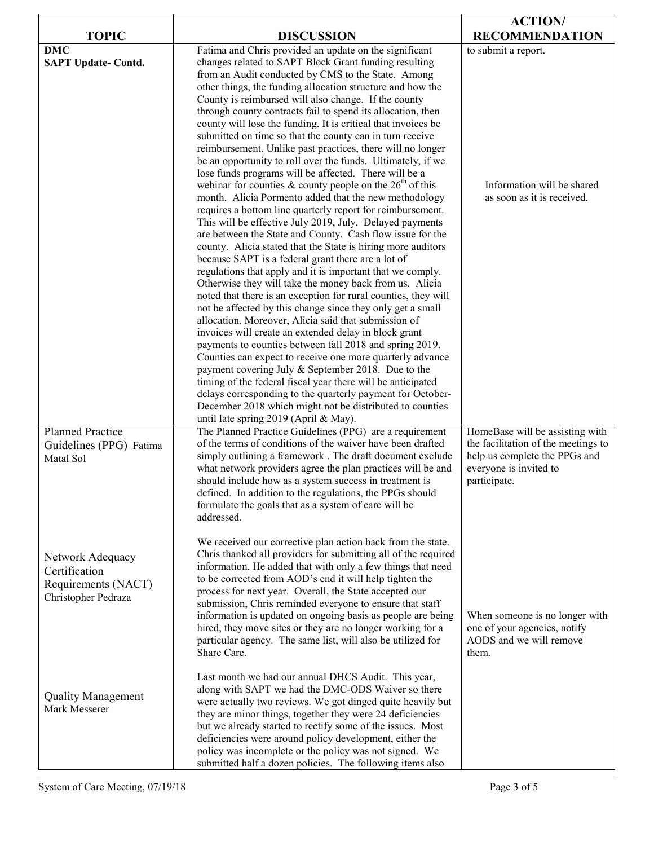|                                                                                 |                                                                                                                                                                                                                                                                                                                                                                                                                                                                                                                                                                                                                                                                                                                                                                                                                                                                                                                                                                                                                                                                                                                                                                                                                                                                                                                                                                                                                                                                                                                                                                                                                                                                                                                                          | <b>ACTION/</b>                                                                                                                                    |
|---------------------------------------------------------------------------------|------------------------------------------------------------------------------------------------------------------------------------------------------------------------------------------------------------------------------------------------------------------------------------------------------------------------------------------------------------------------------------------------------------------------------------------------------------------------------------------------------------------------------------------------------------------------------------------------------------------------------------------------------------------------------------------------------------------------------------------------------------------------------------------------------------------------------------------------------------------------------------------------------------------------------------------------------------------------------------------------------------------------------------------------------------------------------------------------------------------------------------------------------------------------------------------------------------------------------------------------------------------------------------------------------------------------------------------------------------------------------------------------------------------------------------------------------------------------------------------------------------------------------------------------------------------------------------------------------------------------------------------------------------------------------------------------------------------------------------------|---------------------------------------------------------------------------------------------------------------------------------------------------|
| <b>TOPIC</b>                                                                    | <b>DISCUSSION</b>                                                                                                                                                                                                                                                                                                                                                                                                                                                                                                                                                                                                                                                                                                                                                                                                                                                                                                                                                                                                                                                                                                                                                                                                                                                                                                                                                                                                                                                                                                                                                                                                                                                                                                                        | <b>RECOMMENDATION</b>                                                                                                                             |
| <b>DMC</b><br><b>SAPT Update- Contd.</b>                                        | Fatima and Chris provided an update on the significant<br>changes related to SAPT Block Grant funding resulting<br>from an Audit conducted by CMS to the State. Among<br>other things, the funding allocation structure and how the<br>County is reimbursed will also change. If the county<br>through county contracts fail to spend its allocation, then<br>county will lose the funding. It is critical that invoices be<br>submitted on time so that the county can in turn receive<br>reimbursement. Unlike past practices, there will no longer<br>be an opportunity to roll over the funds. Ultimately, if we<br>lose funds programs will be affected. There will be a<br>webinar for counties & county people on the $26th$ of this<br>month. Alicia Pormento added that the new methodology<br>requires a bottom line quarterly report for reimbursement.<br>This will be effective July 2019, July. Delayed payments<br>are between the State and County. Cash flow issue for the<br>county. Alicia stated that the State is hiring more auditors<br>because SAPT is a federal grant there are a lot of<br>regulations that apply and it is important that we comply.<br>Otherwise they will take the money back from us. Alicia<br>noted that there is an exception for rural counties, they will<br>not be affected by this change since they only get a small<br>allocation. Moreover, Alicia said that submission of<br>invoices will create an extended delay in block grant<br>payments to counties between fall 2018 and spring 2019.<br>Counties can expect to receive one more quarterly advance<br>payment covering July & September 2018. Due to the<br>timing of the federal fiscal year there will be anticipated | to submit a report.<br>Information will be shared<br>as soon as it is received.                                                                   |
| <b>Planned Practice</b><br>Guidelines (PPG) Fatima<br>Matal Sol                 | delays corresponding to the quarterly payment for October-<br>December 2018 which might not be distributed to counties<br>until late spring 2019 (April & May).<br>The Planned Practice Guidelines (PPG) are a requirement<br>of the terms of conditions of the waiver have been drafted<br>simply outlining a framework. The draft document exclude<br>what network providers agree the plan practices will be and<br>should include how as a system success in treatment is<br>defined. In addition to the regulations, the PPGs should<br>formulate the goals that as a system of care will be<br>addressed.                                                                                                                                                                                                                                                                                                                                                                                                                                                                                                                                                                                                                                                                                                                                                                                                                                                                                                                                                                                                                                                                                                                          | HomeBase will be assisting with<br>the facilitation of the meetings to<br>help us complete the PPGs and<br>everyone is invited to<br>participate. |
| Network Adequacy<br>Certification<br>Requirements (NACT)<br>Christopher Pedraza | We received our corrective plan action back from the state.<br>Chris thanked all providers for submitting all of the required<br>information. He added that with only a few things that need<br>to be corrected from AOD's end it will help tighten the<br>process for next year. Overall, the State accepted our<br>submission, Chris reminded everyone to ensure that staff<br>information is updated on ongoing basis as people are being<br>hired, they move sites or they are no longer working for a<br>particular agency. The same list, will also be utilized for<br>Share Care.                                                                                                                                                                                                                                                                                                                                                                                                                                                                                                                                                                                                                                                                                                                                                                                                                                                                                                                                                                                                                                                                                                                                                 | When someone is no longer with<br>one of your agencies, notify<br>AODS and we will remove<br>them.                                                |
| <b>Quality Management</b><br>Mark Messerer                                      | Last month we had our annual DHCS Audit. This year,<br>along with SAPT we had the DMC-ODS Waiver so there<br>were actually two reviews. We got dinged quite heavily but<br>they are minor things, together they were 24 deficiencies<br>but we already started to rectify some of the issues. Most<br>deficiencies were around policy development, either the<br>policy was incomplete or the policy was not signed. We<br>submitted half a dozen policies. The following items also                                                                                                                                                                                                                                                                                                                                                                                                                                                                                                                                                                                                                                                                                                                                                                                                                                                                                                                                                                                                                                                                                                                                                                                                                                                     |                                                                                                                                                   |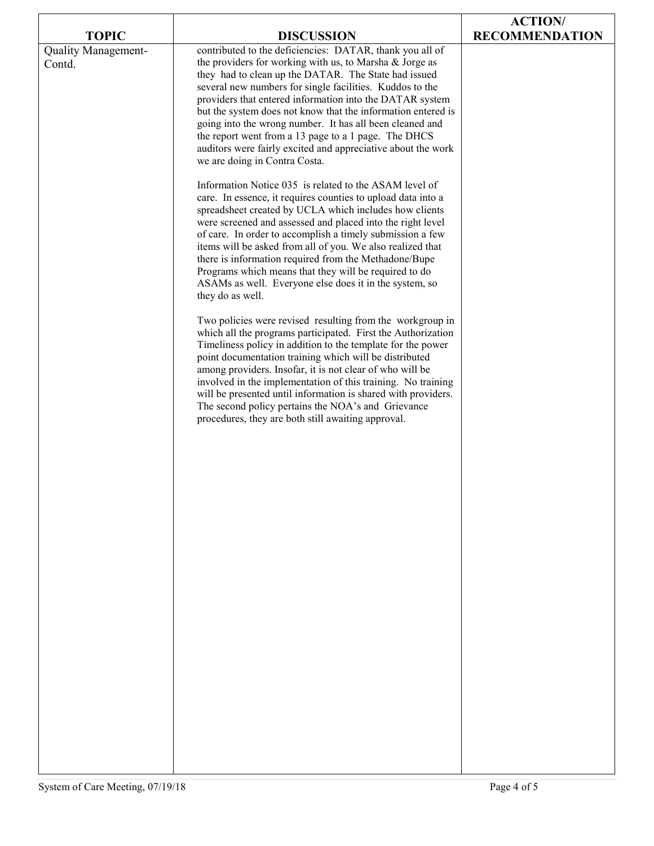| <b>TOPIC</b>                  | <b>DISCUSSION</b>                                                                                                                                                                                                                                                                                                                                                                                                                                                                                                                                                                        | <b>ACTION/</b><br><b>RECOMMENDATION</b> |
|-------------------------------|------------------------------------------------------------------------------------------------------------------------------------------------------------------------------------------------------------------------------------------------------------------------------------------------------------------------------------------------------------------------------------------------------------------------------------------------------------------------------------------------------------------------------------------------------------------------------------------|-----------------------------------------|
| Quality Management-<br>Contd. | contributed to the deficiencies: DATAR, thank you all of<br>the providers for working with us, to Marsha & Jorge as<br>they had to clean up the DATAR. The State had issued<br>several new numbers for single facilities. Kuddos to the<br>providers that entered information into the DATAR system<br>but the system does not know that the information entered is<br>going into the wrong number. It has all been cleaned and<br>the report went from a 13 page to a 1 page. The DHCS<br>auditors were fairly excited and appreciative about the work<br>we are doing in Contra Costa. |                                         |
|                               | Information Notice 035 is related to the ASAM level of<br>care. In essence, it requires counties to upload data into a<br>spreadsheet created by UCLA which includes how clients<br>were screened and assessed and placed into the right level<br>of care. In order to accomplish a timely submission a few<br>items will be asked from all of you. We also realized that<br>there is information required from the Methadone/Bupe<br>Programs which means that they will be required to do<br>ASAMs as well. Everyone else does it in the system, so<br>they do as well.                |                                         |
|                               | Two policies were revised resulting from the workgroup in<br>which all the programs participated. First the Authorization<br>Timeliness policy in addition to the template for the power<br>point documentation training which will be distributed<br>among providers. Insofar, it is not clear of who will be<br>involved in the implementation of this training. No training<br>will be presented until information is shared with providers.<br>The second policy pertains the NOA's and Grievance<br>procedures, they are both still awaiting approval.                              |                                         |
|                               |                                                                                                                                                                                                                                                                                                                                                                                                                                                                                                                                                                                          |                                         |
|                               |                                                                                                                                                                                                                                                                                                                                                                                                                                                                                                                                                                                          |                                         |
|                               |                                                                                                                                                                                                                                                                                                                                                                                                                                                                                                                                                                                          |                                         |